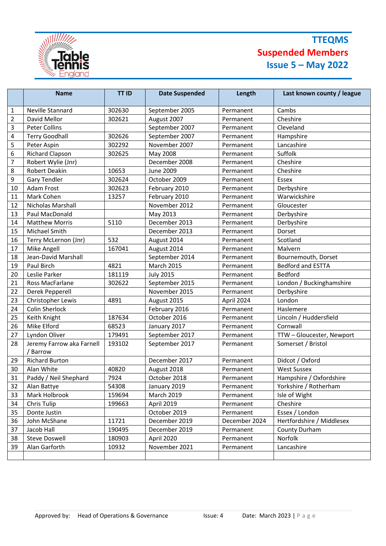

## **TTEQMS Suspended Members Issue 5 – May 2022**

|                | <b>Name</b>                         | <b>TT ID</b> | <b>Date Suspended</b> | Length        | Last known county / league |
|----------------|-------------------------------------|--------------|-----------------------|---------------|----------------------------|
| 1              | Neville Stannard                    | 302630       | September 2005        | Permanent     | Cambs                      |
| $\overline{2}$ | David Mellor                        | 302621       | August 2007           | Permanent     | Cheshire                   |
| 3              | Peter Collins                       |              | September 2007        | Permanent     | Cleveland                  |
| 4              | <b>Terry Goodhall</b>               | 302626       | September 2007        | Permanent     | Hampshire                  |
| 5              | Peter Aspin                         | 302292       | November 2007         | Permanent     | Lancashire                 |
| 6              | <b>Richard Clapson</b>              | 302625       | May 2008              | Permanent     | Suffolk                    |
| $\overline{7}$ | Robert Wylie (Jnr)                  |              | December 2008         | Permanent     | Cheshire                   |
| 8              | <b>Robert Deakin</b>                | 10653        | <b>June 2009</b>      | Permanent     | Cheshire                   |
| 9              | <b>Gary Tendler</b>                 | 302624       | October 2009          | Permanent     | Essex                      |
| 10             | Adam Frost                          | 302623       | February 2010         | Permanent     | Derbyshire                 |
| 11             | Mark Cohen                          | 13257        | February 2010         | Permanent     | Warwickshire               |
| 12             | Nicholas Marshall                   |              | November 2012         | Permanent     | Gloucester                 |
| 13             | Paul MacDonald                      |              | May 2013              | Permanent     | Derbyshire                 |
| 14             | <b>Matthew Morris</b>               | 5110         | December 2013         | Permanent     | Derbyshire                 |
| 15             | Michael Smith                       |              | December 2013         | Permanent     | Dorset                     |
| 16             | Terry McLernon (Jnr)                | 532          | August 2014           | Permanent     | Scotland                   |
| 17             | Mike Angell                         | 167041       | August 2014           | Permanent     | Malvern                    |
| 18             | Jean-David Marshall                 |              | September 2014        | Permanent     | Bournemouth, Dorset        |
| 19             | Paul Birch                          | 4821         | <b>March 2015</b>     | Permanent     | <b>Bedford and ESTTA</b>   |
| 20             | Leslie Parker                       | 181119       | <b>July 2015</b>      | Permanent     | <b>Bedford</b>             |
| 21             | Ross MacFarlane                     | 302622       | September 2015        | Permanent     | London / Buckinghamshire   |
| 22             | Derek Pepperell                     |              | November 2015         | Permanent     | Derbyshire                 |
| 23             | Christopher Lewis                   | 4891         | August 2015           | April 2024    | London                     |
| 24             | Colin Sherlock                      |              | February 2016         | Permanent     | Haslemere                  |
| 25             | Keith Knight                        | 187634       | October 2016          | Permanent     | Lincoln / Huddersfield     |
| 26             | Mike Elford                         | 68523        | January 2017          | Permanent     | Cornwall                   |
| 27             | Lyndon Oliver                       | 179491       | September 2017        | Permanent     | TTW - Gloucester, Newport  |
| 28             | Jeremy Farrow aka Farnell<br>Barrow | 193102       | September 2017        | Permanent     | Somerset / Bristol         |
| 29             | <b>Richard Burton</b>               |              | December 2017         | Permanent     | Didcot / Oxford            |
| 30             | Alan White                          | 40820        | August 2018           | Permanent     | <b>West Sussex</b>         |
| 31             | Paddy / Neil Shephard               | 7924         | October 2018          | Permanent     | Hampshire / Oxfordshire    |
| 32             | Alan Battye                         | 54308        | January 2019          | Permanent     | Yorkshire / Rotherham      |
| 33             | Mark Holbrook                       | 159694       | <b>March 2019</b>     | Permanent     | Isle of Wight              |
| 34             | Chris Tulip                         | 199663       | April 2019            | Permanent     | Cheshire                   |
| 35             | Donte Justin                        |              | October 2019          | Permanent     | Essex / London             |
| 36             | John McShane                        | 11721        | December 2019         | December 2024 | Hertfordshire / Middlesex  |
| 37             | Jacob Hall                          | 190495       | December 2019         | Permanent     | County Durham              |
| 38             | <b>Steve Doswell</b>                | 180903       | April 2020            | Permanent     | Norfolk                    |
| 39             | Alan Garforth                       | 10932        | November 2021         | Permanent     | Lancashire                 |
|                |                                     |              |                       |               |                            |